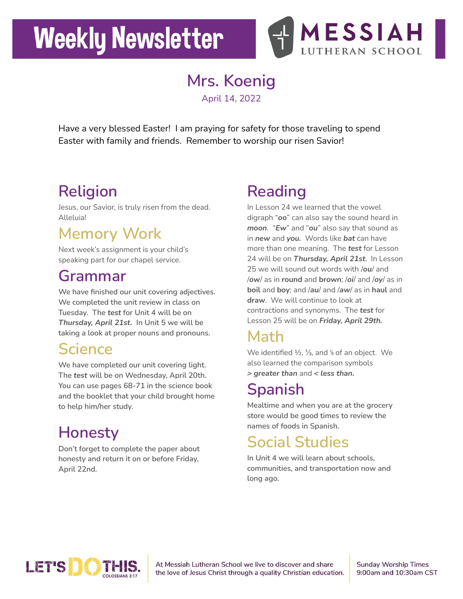# **Weekly Newsletter**



**Mrs. Koenig**

April 14, 2022

Have a very blessed Easter! I am praying for safety for those traveling to spend Easter with family and friends. Remember to worship our risen Savior!

## **Religion**

Jesus, our Savior, is truly risen from the dead. Alleluia!

## **Memory Work**

Next week's assignment is your child's speaking part for our chapel service.

#### **Grammar**

**We have finished our unit covering adjectives. We completed the unit review in class on Tuesday. The** *test* **for Unit 4 will be on** *Thursday, April 21st.* **In Unit 5 we will be taking a look at proper nouns and pronouns.**

### **Science**

**We have completed our unit covering light. The** *test* **will be on Wednesday, April 20th. You can use pages 68-71 in the science book and the booklet that your child brought home to help him/her study.**

# **Honesty**

**Don't forget to complete the paper about honesty and return it on or before Friday, April 22nd.**

# **Reading**

In Lesson 24 we learned that the vowel digraph "*oo*" can also say the sound heard in *moon*. "*Ew*" and "*ou*" also say that sound as in *new* and *you.* Words like *bat* can have more than one meaning. The *test* for Lesson 24 will be on *Thursday, April 21st*. In Lesson 25 we will sound out words with /*ou*/ and /*ow*/ as in **round** and **brown**; /*oi*/ and /*oy*/ as in **boil** and **boy**; and /*au*/ and /*aw*/ as in **haul** and **draw**. We will continue to look at contractions and synonyms. The *test* for Lesson 25 will be on *Friday, April 29th.*

### **Math**

We identified 1/2, 1/<sub>3</sub>, and <sup>1/6</sup> of an object. We also learned the comparison symbols *> greater than* and *< less than.*

## **Spanish**

**Mealtime and when you are at the grocery store would be good times to review the names of foods in Spanish.**

## **Social Studies**

**In Unit 4 we will learn about schools, communities, and transportation now and long ago.**



At Messiah Lutheran School we live to discover and share the love of Jesus Christ through a quality Christian education. **Sunday Worship Times** 9:00am and 10:30am CST